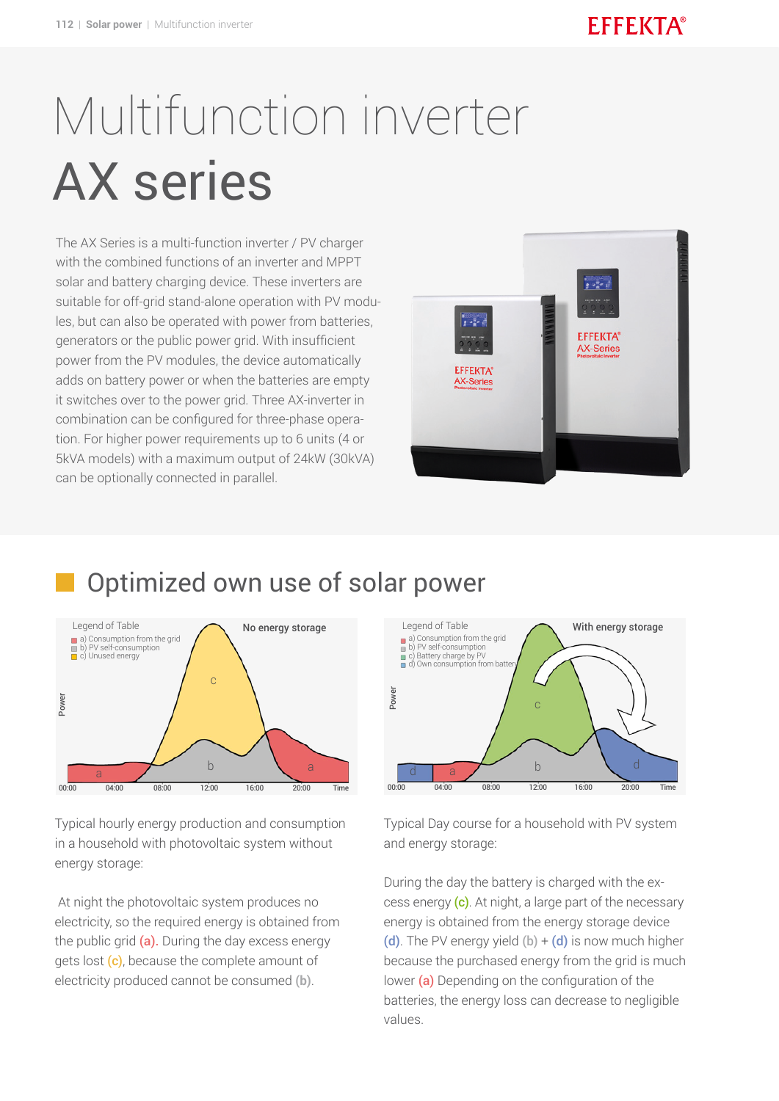# Multifunction inverter AX series

The AX Series is a multi-function inverter / PV charger with the combined functions of an inverter and MPPT solar and battery charging device. These inverters are suitable for off-grid stand-alone operation with PV modules, but can also be operated with power from batteries, generators or the public power grid. With insufficient power from the PV modules, the device automatically adds on battery power or when the batteries are empty it switches over to the power grid. Three AX-inverter in combination can be configured for three-phase operation. For higher power requirements up to 6 units (4 or 5kVA models) with a maximum output of 24kW (30kVA) can be optionally connected in parallel.



#### Optimized own use of solar power



Typical hourly energy production and consumption in a household with photovoltaic system without energy storage:

 At night the photovoltaic system produces no electricity, so the required energy is obtained from the public grid  $(a)$ . During the day excess energy gets lost (c), because the complete amount of electricity produced cannot be consumed **(b)**.



Typical Day course for a household with PV system and energy storage:

During the day the battery is charged with the excess energy (c). At night, a large part of the necessary energy is obtained from the energy storage device (d). The PV energy yield  $(b) + (d)$  is now much higher because the purchased energy from the grid is much lower  $(a)$  Depending on the configuration of the batteries, the energy loss can decrease to negligible values.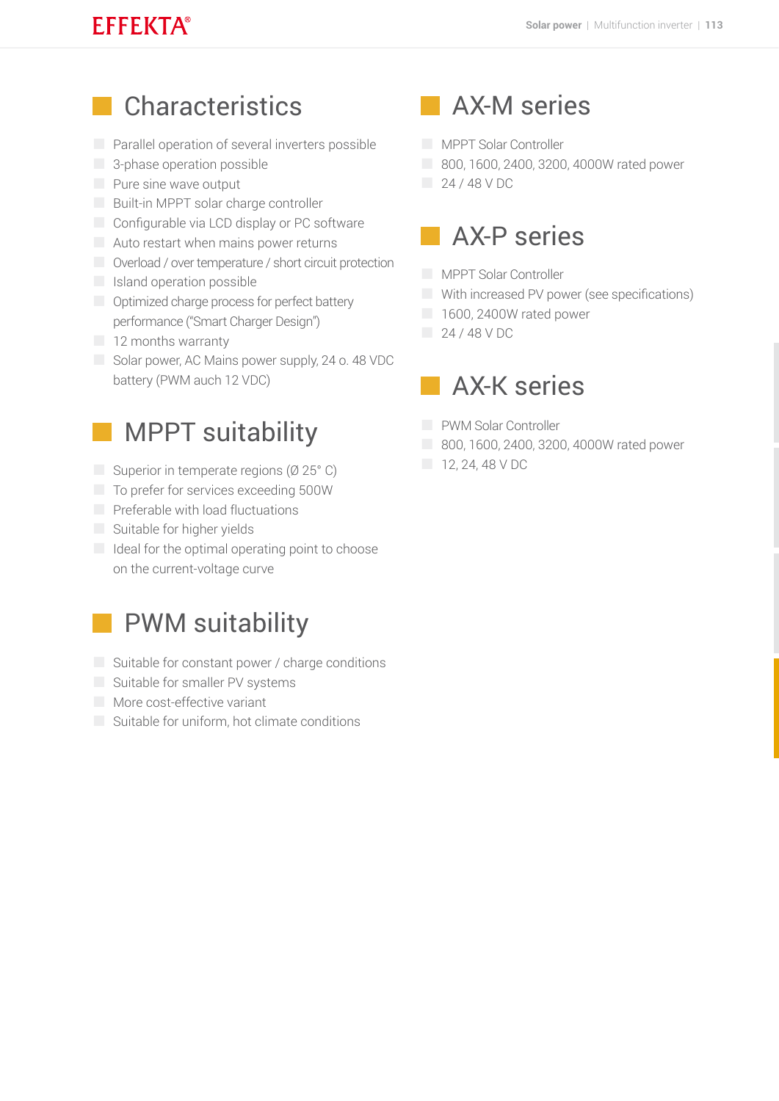#### **EFFEKTA®**

## **Characteristics**

- **Parallel operation of several inverters possible**
- **3-phase operation possible**
- **Pure sine wave output**
- **Built-in MPPT solar charge controller**
- Configurable via LCD display or PC software
- Auto restart when mains power returns
- Overload / over temperature / short circuit protection
- **Island operation possible**
- **Optimized charge process for perfect battery** performance ("Smart Charger Design")
- 12 months warranty
- Solar power, AC Mains power supply, 24 o. 48 VDC battery (PWM auch 12 VDC)

#### MPPT suitability

- Superior in temperate regions ( $\emptyset$  25° C)
- To prefer for services exceeding 500W
- $\Box$  Preferable with load fluctuations
- Suitable for higher yields
- $\Box$  Ideal for the optimal operating point to choose on the current-voltage curve

#### PWM suitability

- $\Box$  Suitable for constant power / charge conditions
- Suitable for smaller PV systems
- **More cost-effective variant**
- Suitable for uniform, hot climate conditions

## AX-M series

- **MPPT Solar Controller**
- 800, 1600, 2400, 3200, 4000W rated power
- 24 / 48 V DC

## AX-P series

- **MPPT Solar Controller**
- With increased PV power (see specifications)
- 1600, 2400W rated power
- $\sqrt{24/48}$  V DC

#### AX-K series

- **PWM Solar Controller**
- 800, 1600, 2400, 3200, 4000W rated power
- $12, 24, 48$  V DC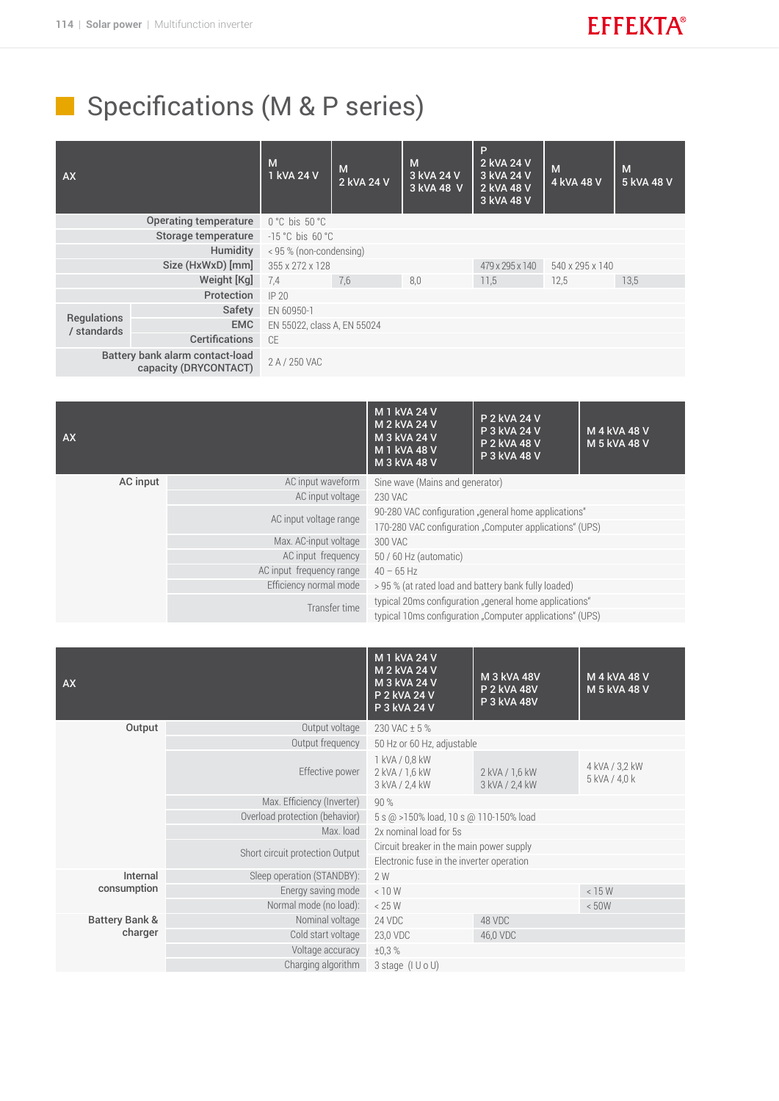# Specifications (M & P series)

| <b>AX</b>                                                |                       | M<br>1 kVA 24 V                  | M<br>2 kVA 24 V | M<br>3 kVA 24 V<br>3 kVA 48 V | P<br>2 kVA 24 V<br>3 kVA 24 V<br>2 kVA 48 V<br>3 kVA 48 V | M<br>4 kVA 48 V | M<br>5 kVA 48 V |  |
|----------------------------------------------------------|-----------------------|----------------------------------|-----------------|-------------------------------|-----------------------------------------------------------|-----------------|-----------------|--|
| <b>Operating temperature</b>                             |                       | $0^{\circ}$ C bis $50^{\circ}$ C |                 |                               |                                                           |                 |                 |  |
| Storage temperature                                      |                       | $-15$ °C bis 60 °C               |                 |                               |                                                           |                 |                 |  |
| Humidity                                                 |                       | < 95 % (non-condensing)          |                 |                               |                                                           |                 |                 |  |
| Size (HxWxD) [mm]                                        |                       | 355 x 272 x 128                  |                 |                               | 479 x 295 x 140                                           | 540 x 295 x 140 |                 |  |
| Weight [Kg]                                              |                       | 7.4                              | 7,6             | 8.0                           | 11,5                                                      | 12.5            | 13.5            |  |
|                                                          | Protection            | IP20                             |                 |                               |                                                           |                 |                 |  |
|                                                          | Safety                | EN 60950-1                       |                 |                               |                                                           |                 |                 |  |
| Regulations<br>/ standards                               | <b>EMC</b>            | EN 55022, class A, EN 55024      |                 |                               |                                                           |                 |                 |  |
|                                                          | <b>Certifications</b> | CE                               |                 |                               |                                                           |                 |                 |  |
| Battery bank alarm contact-load<br>capacity (DRYCONTACT) |                       | 2 A / 250 VAC                    |                 |                               |                                                           |                 |                 |  |

| <b>AX</b> |                          | M 1 kVA 24 V<br>M 2 kVA 24 V<br>M 3 kVA 24 V<br>M 1 kVA 48 V<br>M 3 kVA 48 V | P 2 kVA 24 V<br>P 3 kVA 24 V<br>P 2 kVA 48 V<br>P 3 kVA 48 V | M 4 kVA 48 V<br>M 5 kVA 48 V |  |
|-----------|--------------------------|------------------------------------------------------------------------------|--------------------------------------------------------------|------------------------------|--|
| AC input  | AC input waveform        | Sine wave (Mains and generator)                                              |                                                              |                              |  |
|           | AC input voltage         | 230 VAC                                                                      |                                                              |                              |  |
|           | AC input voltage range   | 90-280 VAC configuration "general home applications"                         |                                                              |                              |  |
|           |                          | 170-280 VAC configuration "Computer applications" (UPS)                      |                                                              |                              |  |
|           | Max. AC-input voltage    | 300 VAC                                                                      |                                                              |                              |  |
|           | AC input frequency       | 50 / 60 Hz (automatic)                                                       |                                                              |                              |  |
|           | AC input frequency range | $40 - 65$ Hz                                                                 |                                                              |                              |  |
|           | Efficiency normal mode   | > 95 % (at rated load and battery bank fully loaded)                         |                                                              |                              |  |
|           | Transfer time            | typical 20ms configuration "general home applications"                       |                                                              |                              |  |
|           |                          | typical 10ms configuration "Computer applications" (UPS)                     |                                                              |                              |  |

| Output voltage<br>230 VAC ± 5 %<br>Output<br>Output frequency<br>50 Hz or 60 Hz, adjustable<br>1 kVA / 0,8 kW<br>4 kVA / 3,2 kW<br>Effective power<br>2 kVA / 1,6 kW<br>2 kVA / 1,6 kW<br>5 kVA / 4,0 k<br>3 kVA / 2,4 kW<br>3 kVA / 2,4 kW<br>Max. Efficiency (Inverter)<br>90%<br>Overload protection (behavior)<br>5 s @ >150% load, 10 s @ 110-150% load<br>Max. load<br>2x nominal load for 5s<br>Circuit breaker in the main power supply<br>Short circuit protection Output<br>Electronic fuse in the inverter operation<br>Sleep operation (STANDBY):<br>Internal<br>2 W<br>consumption<br>Energy saving mode<br>< 10 W<br>< 15 W<br>Normal mode (no load):<br>< 25 W<br>< 50W<br>Battery Bank &<br>Nominal voltage<br>24 VDC<br>48 VDC<br>charger<br>Cold start voltage<br>23,0 VDC<br>46,0 VDC<br>Voltage accuracy<br>±0.3%<br>Charging algorithm<br>$3 \text{ stage } (I \cup O \cup C)$ | AX |  | M 1 kVA 24 V<br>M 2 kVA 24 V<br>M 3 kVA 24 V<br>P 2 kVA 24 V<br>P 3 kVA 24 V | M 3 kVA 48V<br><b>P 2 kVA 48V</b><br>P 3 kVA 48V | M 4 kVA 48 V<br>M 5 kVA 48 V |  |
|-----------------------------------------------------------------------------------------------------------------------------------------------------------------------------------------------------------------------------------------------------------------------------------------------------------------------------------------------------------------------------------------------------------------------------------------------------------------------------------------------------------------------------------------------------------------------------------------------------------------------------------------------------------------------------------------------------------------------------------------------------------------------------------------------------------------------------------------------------------------------------------------------------|----|--|------------------------------------------------------------------------------|--------------------------------------------------|------------------------------|--|
|                                                                                                                                                                                                                                                                                                                                                                                                                                                                                                                                                                                                                                                                                                                                                                                                                                                                                                     |    |  |                                                                              |                                                  |                              |  |
|                                                                                                                                                                                                                                                                                                                                                                                                                                                                                                                                                                                                                                                                                                                                                                                                                                                                                                     |    |  |                                                                              |                                                  |                              |  |
|                                                                                                                                                                                                                                                                                                                                                                                                                                                                                                                                                                                                                                                                                                                                                                                                                                                                                                     |    |  |                                                                              |                                                  |                              |  |
|                                                                                                                                                                                                                                                                                                                                                                                                                                                                                                                                                                                                                                                                                                                                                                                                                                                                                                     |    |  |                                                                              |                                                  |                              |  |
|                                                                                                                                                                                                                                                                                                                                                                                                                                                                                                                                                                                                                                                                                                                                                                                                                                                                                                     |    |  |                                                                              |                                                  |                              |  |
|                                                                                                                                                                                                                                                                                                                                                                                                                                                                                                                                                                                                                                                                                                                                                                                                                                                                                                     |    |  |                                                                              |                                                  |                              |  |
|                                                                                                                                                                                                                                                                                                                                                                                                                                                                                                                                                                                                                                                                                                                                                                                                                                                                                                     |    |  |                                                                              |                                                  |                              |  |
|                                                                                                                                                                                                                                                                                                                                                                                                                                                                                                                                                                                                                                                                                                                                                                                                                                                                                                     |    |  |                                                                              |                                                  |                              |  |
|                                                                                                                                                                                                                                                                                                                                                                                                                                                                                                                                                                                                                                                                                                                                                                                                                                                                                                     |    |  |                                                                              |                                                  |                              |  |
|                                                                                                                                                                                                                                                                                                                                                                                                                                                                                                                                                                                                                                                                                                                                                                                                                                                                                                     |    |  |                                                                              |                                                  |                              |  |
|                                                                                                                                                                                                                                                                                                                                                                                                                                                                                                                                                                                                                                                                                                                                                                                                                                                                                                     |    |  |                                                                              |                                                  |                              |  |
|                                                                                                                                                                                                                                                                                                                                                                                                                                                                                                                                                                                                                                                                                                                                                                                                                                                                                                     |    |  |                                                                              |                                                  |                              |  |
|                                                                                                                                                                                                                                                                                                                                                                                                                                                                                                                                                                                                                                                                                                                                                                                                                                                                                                     |    |  |                                                                              |                                                  |                              |  |
|                                                                                                                                                                                                                                                                                                                                                                                                                                                                                                                                                                                                                                                                                                                                                                                                                                                                                                     |    |  |                                                                              |                                                  |                              |  |